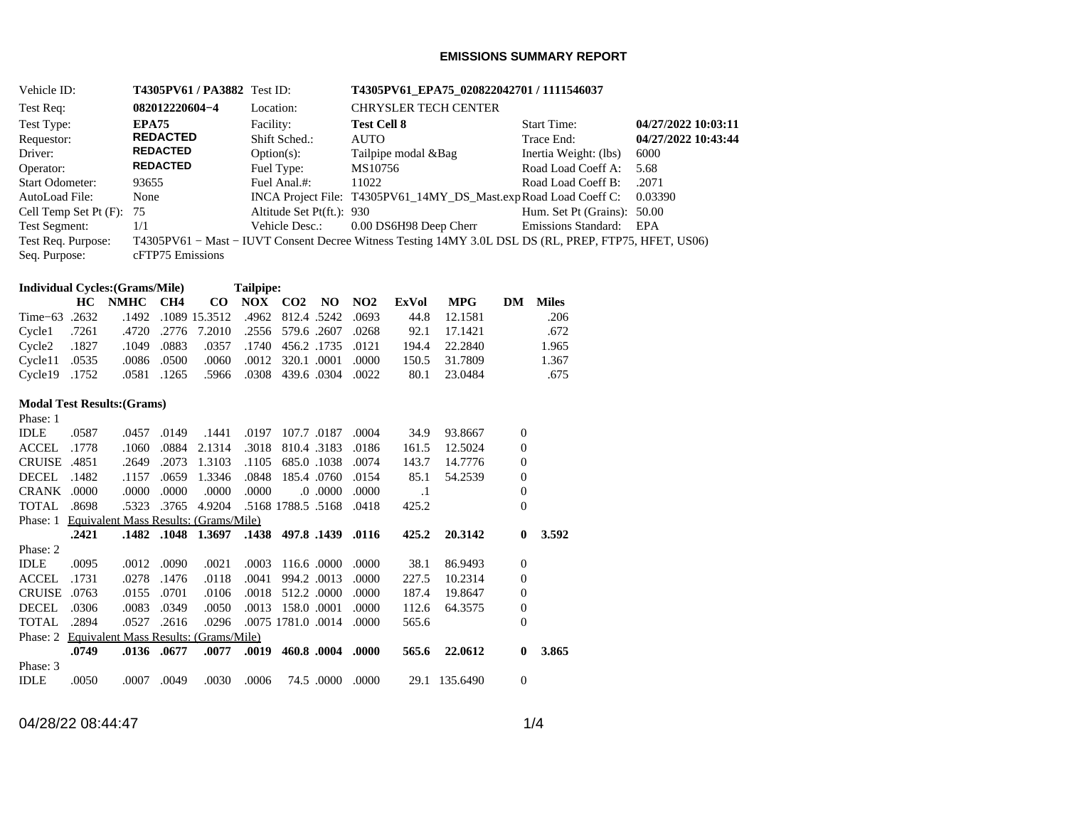### **EMISSIONS SUMMARY REPORT**

| Vehicle ID:            |       |                                                |                 | <b>T4305PV61/PA3882</b> Test ID: |                     |                           |                |                             |                        |               |                  | T4305PV61_EPA75_020822042701/1111546037                                                               |                     |
|------------------------|-------|------------------------------------------------|-----------------|----------------------------------|---------------------|---------------------------|----------------|-----------------------------|------------------------|---------------|------------------|-------------------------------------------------------------------------------------------------------|---------------------|
| Test Req:              |       |                                                | 082012220604-4  |                                  |                     | Location:                 |                | <b>CHRYSLER TECH CENTER</b> |                        |               |                  |                                                                                                       |                     |
| Test Type:             |       | <b>EPA75</b>                                   |                 |                                  | Facility:           |                           |                | <b>Test Cell 8</b>          |                        |               |                  | <b>Start Time:</b>                                                                                    | 04/27/2022 10:03:11 |
| Requestor:             |       |                                                | <b>REDACTED</b> |                                  |                     | Shift Sched.:             |                | <b>AUTO</b>                 |                        |               |                  | Trace End:                                                                                            | 04/27/2022 10:43:44 |
| Driver:                |       |                                                | <b>REDACTED</b> |                                  |                     | $Option(s)$ :             |                |                             | Tailpipe modal &Bag    |               |                  | Inertia Weight: (lbs)                                                                                 | 6000                |
| Operator:              |       |                                                | <b>REDACTED</b> |                                  |                     | Fuel Type:                |                | MS10756                     |                        |               |                  | Road Load Coeff A:                                                                                    | 5.68                |
| <b>Start Odometer:</b> |       | 93655                                          |                 |                                  |                     | Fuel Anal.#:              |                | 11022                       |                        |               |                  | Road Load Coeff B:                                                                                    | .2071               |
| AutoLoad File:         |       | None                                           |                 |                                  |                     |                           |                |                             |                        |               |                  | INCA Project File: T4305PV61_14MY_DS_Mast.expRoad Load Coeff C:                                       | 0.03390             |
| Cell Temp Set Pt (F):  |       | 75                                             |                 |                                  |                     | Altitude Set Pt(ft.): 930 |                |                             |                        |               |                  | Hum. Set Pt (Grains): 50.00                                                                           |                     |
| <b>Test Segment:</b>   |       | 1/1                                            |                 |                                  |                     | Vehicle Desc.:            |                |                             | 0.00 DS6H98 Deep Cherr |               |                  | Emissions Standard:                                                                                   | EPA                 |
| Test Req. Purpose:     |       |                                                |                 |                                  |                     |                           |                |                             |                        |               |                  | T4305PV61 - Mast - IUVT Consent Decree Witness Testing 14MY 3.0L DSL DS (RL, PREP, FTP75, HFET, US06) |                     |
| Seq. Purpose:          |       |                                                |                 | cFTP75 Emissions                 |                     |                           |                |                             |                        |               |                  |                                                                                                       |                     |
|                        |       |                                                |                 |                                  |                     |                           |                |                             |                        |               |                  |                                                                                                       |                     |
|                        |       | <b>Individual Cycles:</b> (Grams/Mile)         |                 |                                  | Tailpipe:           |                           |                |                             |                        |               |                  |                                                                                                       |                     |
|                        | HC    | <b>NMHC</b>                                    | CH <sub>4</sub> | $\bf CO$                         | NOX CO <sub>2</sub> |                           | N <sub>O</sub> | NO2                         | <b>ExVol</b>           | <b>MPG</b>    | DM               | <b>Miles</b>                                                                                          |                     |
| Time-63 .2632          |       |                                                |                 | .1492 .1089 15.3512              | .4962               | 812.4 .5242               |                | .0693                       | 44.8                   | 12.1581       |                  | .206                                                                                                  |                     |
| Cycle1                 | .7261 | .4720                                          |                 | .2776 7.2010                     |                     | .2556 579.6 .2607         |                | .0268                       | 92.1                   | 17.1421       |                  | .672                                                                                                  |                     |
| Cycle <sub>2</sub>     | .1827 | .1049                                          | .0883           | .0357                            | .1740               |                           | 456.2 .1735    | .0121                       | 194.4                  | 22.2840       |                  | 1.965                                                                                                 |                     |
| Cycle11                | .0535 | .0086                                          | .0500           | .0060                            | .0012               | 320.1 .0001               |                | .0000                       | 150.5                  | 31.7809       |                  | 1.367                                                                                                 |                     |
| Cycle19                | .1752 | .0581                                          | .1265           | .5966                            | .0308               |                           | 439.6 .0304    | .0022                       | 80.1                   | 23.0484       |                  | .675                                                                                                  |                     |
|                        |       | <b>Modal Test Results: (Grams)</b>             |                 |                                  |                     |                           |                |                             |                        |               |                  |                                                                                                       |                     |
| Phase: 1               |       |                                                |                 |                                  |                     |                           |                |                             |                        |               |                  |                                                                                                       |                     |
| <b>IDLE</b>            | .0587 |                                                | .0457 .0149     | .1441                            | .0197               | 107.7 .0187               |                | .0004                       | 34.9                   | 93.8667       | $\boldsymbol{0}$ |                                                                                                       |                     |
| <b>ACCEL</b>           | .1778 | .1060                                          |                 | .0884 2.1314                     |                     | .3018 810.4 .3183         |                | .0186                       | 161.5                  | 12.5024       | $\boldsymbol{0}$ |                                                                                                       |                     |
| <b>CRUISE .4851</b>    |       | .2649                                          |                 | .2073 1.3103                     | .1105               |                           | 685.0 .1038    | .0074                       | 143.7                  | 14.7776       | $\boldsymbol{0}$ |                                                                                                       |                     |
| DECEL                  | .1482 | .1157                                          |                 | .0659 1.3346                     | .0848               |                           | 185.4 .0760    | .0154                       | 85.1                   | 54.2539       | $\boldsymbol{0}$ |                                                                                                       |                     |
| CRANK .0000            |       | .0000                                          | .0000           | .0000                            | .0000               |                           | $.0000$ . 0.   | .0000                       | $\cdot$ 1              |               | $\boldsymbol{0}$ |                                                                                                       |                     |
| <b>TOTAL</b>           | .8698 | .5323                                          |                 | .3765 4.9204                     |                     | .5168 1788.5 .5168        |                | .0418                       | 425.2                  |               | $\overline{0}$   |                                                                                                       |                     |
|                        |       | Phase: 1 Equivalent Mass Results: (Grams/Mile) |                 |                                  |                     |                           |                |                             |                        |               |                  |                                                                                                       |                     |
|                        | .2421 |                                                |                 | .1482 .1048 1.3697               |                     | .1438 497.8 .1439         |                | .0116                       | 425.2                  | 20.3142       | $\bf{0}$         | 3.592                                                                                                 |                     |
| Phase: 2               |       |                                                |                 |                                  |                     |                           |                |                             |                        |               |                  |                                                                                                       |                     |
| <b>IDLE</b>            | .0095 |                                                | .0012 .0090     | .0021                            | .0003               | 116.6 .0000               |                | .0000                       | 38.1                   | 86.9493       | $\boldsymbol{0}$ |                                                                                                       |                     |
| <b>ACCEL</b>           | .1731 | .0278                                          | .1476           | .0118                            | .0041               | 994.2 .0013               |                | .0000                       | 227.5                  | 10.2314       | $\boldsymbol{0}$ |                                                                                                       |                     |
| <b>CRUISE .0763</b>    |       | .0155                                          | .0701           | .0106                            |                     | .0018 512.2 .0000         |                | .0000                       | 187.4                  | 19.8647       | $\boldsymbol{0}$ |                                                                                                       |                     |
| <b>DECEL</b>           | .0306 | .0083                                          | .0349           | .0050                            |                     | .0013 158.0 .0001         |                | .0000                       | 112.6                  | 64.3575       | $\boldsymbol{0}$ |                                                                                                       |                     |
| <b>TOTAL</b>           | .2894 |                                                | .0527 .2616     | .0296                            |                     | .0075 1781.0 .0014 .0000  |                |                             | 565.6                  |               | $\overline{0}$   |                                                                                                       |                     |
|                        |       | Phase: 2 Equivalent Mass Results: (Grams/Mile) |                 |                                  |                     |                           |                |                             |                        |               |                  |                                                                                                       |                     |
|                        | .0749 |                                                | .0136 .0677     | .0077                            | .0019               |                           |                | 460.8 .0004 .0000           | 565.6                  | 22.0612       | $\bf{0}$         | 3.865                                                                                                 |                     |
| Phase: 3               |       |                                                |                 |                                  |                     |                           |                |                             |                        |               |                  |                                                                                                       |                     |
| <b>IDLE</b>            | .0050 |                                                | .0007 .0049     | .0030                            | .0006               |                           |                | 74.5 .0000 .0000            |                        | 29.1 135.6490 | $\boldsymbol{0}$ |                                                                                                       |                     |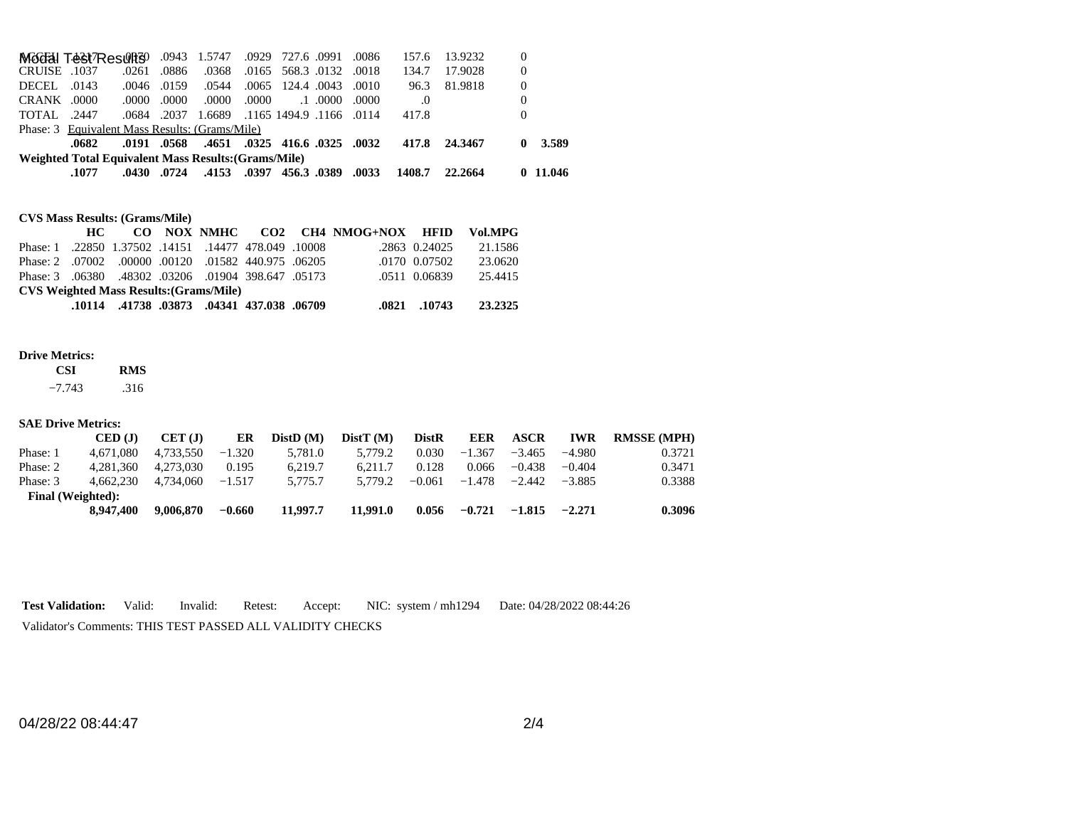|                     | Modal Test Results                                   |       |             | .0943 1.5747 |       | .0929 727.6 .0991             | .0086 | 157.6    | 13.9232 | 0 |          |
|---------------------|------------------------------------------------------|-------|-------------|--------------|-------|-------------------------------|-------|----------|---------|---|----------|
| <b>CRUISE</b> .1037 |                                                      | .0261 | .0886       | .0368        |       | .0165 568.3 .0132 .0018       |       | 134.7    | 17.9028 | 0 |          |
| DECEL               | .0143                                                | .0046 | .0159       | .0544        |       | .0065 124.4 .0043             | .0010 | 96.3     | 81.9818 | 0 |          |
| CRANK .0000         |                                                      | .0000 | .0000       | .0000        | .0000 | $.1 \, .0000$                 | .0000 | $\Omega$ |         | 0 |          |
| TOTAL.              | .2447                                                | .0684 | .2037       | 1.6689       |       | .1165 1494.9 .1166 .0114      |       | 417.8    |         | 0 |          |
|                     | Phase: 3 Equivalent Mass Results: (Grams/Mile)       |       |             |              |       |                               |       |          |         |   |          |
|                     | .0682                                                |       | .0191 .0568 |              |       | .4651 .0325 416.6 .0325 .0032 |       | 417.8    | 24.3467 | 0 | 3.589    |
|                     | Weighted Total Equivalent Mass Results: (Grams/Mile) |       |             |              |       |                               |       |          |         |   |          |
|                     | .1077                                                | .0430 | .0724       | .4153        | .0397 | 456.3.0389                    | .0033 | 1408.7   | 22.2664 |   | 0.11.046 |

## **CVS Mass Results: (Grams/Mile)**

|                                                     |  |  |  |  |                                            |  | HC CO NOX NMHC CO2 CH4 NMOG+NOX HFID Vol.MPG |               |         |  |
|-----------------------------------------------------|--|--|--|--|--------------------------------------------|--|----------------------------------------------|---------------|---------|--|
| Phase: 1.22850 1.37502 .14151 .14477 478.049 .10008 |  |  |  |  |                                            |  |                                              | .2863 0.24025 | 21.1586 |  |
| Phase: 2 .07002 .00000 .00120 .01582 440.975 .06205 |  |  |  |  |                                            |  |                                              | .0170 0.07502 | 23.0620 |  |
| Phase: 3 .06380 .48302 .03206 .01904 398.647 .05173 |  |  |  |  |                                            |  |                                              | .0511 0.06839 | 25.4415 |  |
| <b>CVS Weighted Mass Results: (Grams/Mile)</b>      |  |  |  |  |                                            |  |                                              |               |         |  |
|                                                     |  |  |  |  | .10114 .41738 .03873 .04341 437.038 .06709 |  |                                              | .0821 .10743  | 23.2325 |  |

#### **Drive Metrics:**

| <b>CSI</b> | <b>RMS</b> |
|------------|------------|
| 7712       | 21C        |

 $-7.743$ .316

#### **SAE Drive Metrics:**

|          | CED (J)                  | CET(J)    | ER       | DistD(M) | DistT(M) | <b>DistR</b> | <b>EER</b> | <b>ASCR</b> | <b>IWR</b> | <b>RMSSE (MPH)</b> |
|----------|--------------------------|-----------|----------|----------|----------|--------------|------------|-------------|------------|--------------------|
| Phase: 1 | 4.671.080                | 4.733.550 | $-1.320$ | 5.781.0  | 5.779.2  | 0.030        | $-1.367$   | $-3.465$    | $-4.980$   | 0.3721             |
| Phase: 2 | 4.281.360                | 4.273.030 | 0.195    | 6.219.7  | 6.211.7  | 0.128        | 0.066      | $-0.438$    | $-0.404$   | 0.3471             |
| Phase: 3 | 4.662.230                | 4.734.060 | $-1.517$ | 5.775.7  | 5.779.2  | $-0.061$     | $-1.478$   | -2.442      | $-3.885$   | 0.3388             |
|          | <b>Final</b> (Weighted): |           |          |          |          |              |            |             |            |                    |
|          | 8,947,400                | 9,006,870 | $-0.660$ | 11,997.7 | 11.991.0 | 0.056        | $-0.721$   | $-1.815$    | $-2.271$   | 0.3096             |

**Test Validation:** Valid: Invalid: Retest: Accept: NIC: system / mh1294 Date: 04/28/2022 08:44:26

Validator's Comments: THIS TEST PASSED ALL VALIDITY CHECKS

04/28/22 08:44:47 2/4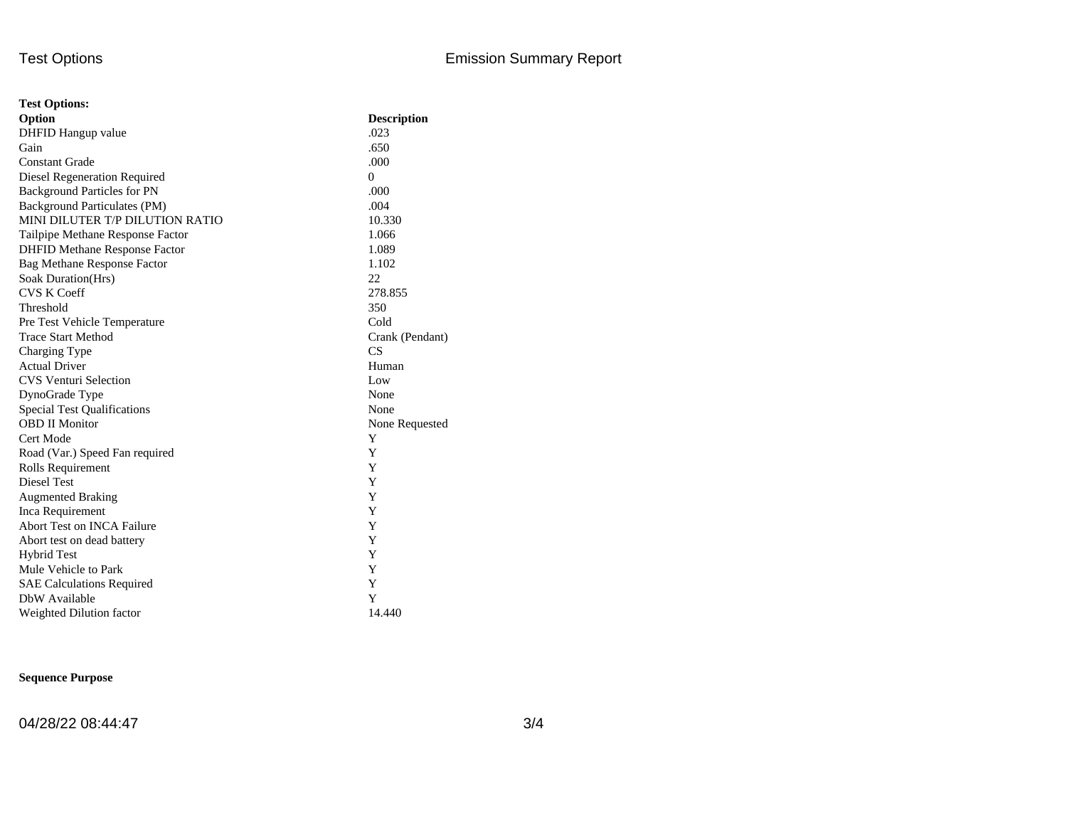| <b>Test Options:</b>                 |                    |  |  |  |  |  |
|--------------------------------------|--------------------|--|--|--|--|--|
| Option                               | <b>Description</b> |  |  |  |  |  |
| DHFID Hangup value                   | .023               |  |  |  |  |  |
| Gain                                 | .650               |  |  |  |  |  |
| <b>Constant Grade</b>                | .000               |  |  |  |  |  |
| Diesel Regeneration Required         | $\Omega$           |  |  |  |  |  |
| <b>Background Particles for PN</b>   | .000               |  |  |  |  |  |
| Background Particulates (PM)         | .004               |  |  |  |  |  |
| MINI DILUTER T/P DILUTION RATIO      | 10.330             |  |  |  |  |  |
| Tailpipe Methane Response Factor     | 1.066              |  |  |  |  |  |
| <b>DHFID Methane Response Factor</b> | 1.089              |  |  |  |  |  |
| <b>Bag Methane Response Factor</b>   | 1.102              |  |  |  |  |  |
| Soak Duration(Hrs)                   | 22                 |  |  |  |  |  |
| <b>CVS K Coeff</b>                   | 278.855            |  |  |  |  |  |
| Threshold                            | 350                |  |  |  |  |  |
| Pre Test Vehicle Temperature         | Cold               |  |  |  |  |  |
| <b>Trace Start Method</b>            | Crank (Pendant)    |  |  |  |  |  |
| Charging Type                        | CS                 |  |  |  |  |  |
| <b>Actual Driver</b>                 | Human              |  |  |  |  |  |
| <b>CVS Venturi Selection</b>         | Low                |  |  |  |  |  |
| DynoGrade Type                       | None               |  |  |  |  |  |
| <b>Special Test Qualifications</b>   | None               |  |  |  |  |  |
| <b>OBD II Monitor</b>                | None Requested     |  |  |  |  |  |
| Cert Mode                            | Y                  |  |  |  |  |  |
| Road (Var.) Speed Fan required       | Y                  |  |  |  |  |  |
| Rolls Requirement                    | Y                  |  |  |  |  |  |
| Diesel Test                          | Y                  |  |  |  |  |  |
| <b>Augmented Braking</b>             | Y                  |  |  |  |  |  |
| Inca Requirement                     | Y                  |  |  |  |  |  |
| Abort Test on INCA Failure           | Y                  |  |  |  |  |  |
| Abort test on dead battery           | Y                  |  |  |  |  |  |
| <b>Hybrid Test</b>                   | Y                  |  |  |  |  |  |
| Mule Vehicle to Park                 | Y                  |  |  |  |  |  |
| <b>SAE Calculations Required</b>     | Y                  |  |  |  |  |  |
| DbW Available                        | Y                  |  |  |  |  |  |
| Weighted Dilution factor             | 14.440             |  |  |  |  |  |

## **Sequence Purpose**